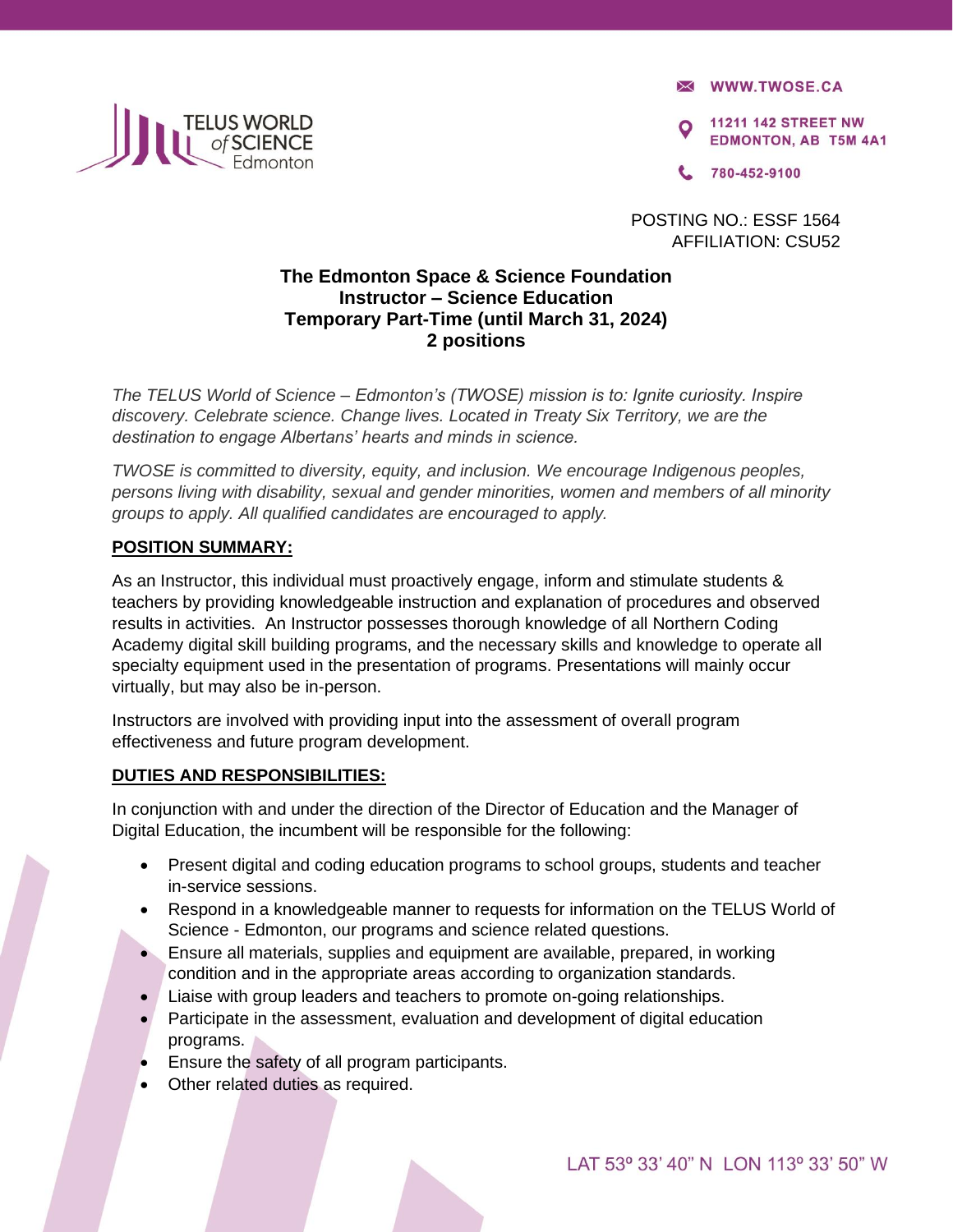

**X WWW.TWOSE.CA** 

**11211 142 STREET NW EDMONTON, AB T5M 4A1** 

780-452-9100

POSTING NO.: ESSF 1564 AFFILIATION: CSU52

# **The Edmonton Space & Science Foundation Instructor – Science Education Temporary Part-Time (until March 31, 2024) 2 positions**

*The TELUS World of Science – Edmonton's (TWOSE) mission is to: Ignite curiosity. Inspire discovery. Celebrate science. Change lives. Located in Treaty Six Territory, we are the destination to engage Albertans' hearts and minds in science.* 

*TWOSE is committed to diversity, equity, and inclusion. We encourage Indigenous peoples, persons living with disability, sexual and gender minorities, women and members of all minority groups to apply. All qualified candidates are encouraged to apply.* 

## **POSITION SUMMARY:**

As an Instructor, this individual must proactively engage, inform and stimulate students & teachers by providing knowledgeable instruction and explanation of procedures and observed results in activities. An Instructor possesses thorough knowledge of all Northern Coding Academy digital skill building programs, and the necessary skills and knowledge to operate all specialty equipment used in the presentation of programs. Presentations will mainly occur virtually, but may also be in-person.

Instructors are involved with providing input into the assessment of overall program effectiveness and future program development.

## **DUTIES AND RESPONSIBILITIES:**

In conjunction with and under the direction of the Director of Education and the Manager of Digital Education, the incumbent will be responsible for the following:

- Present digital and coding education programs to school groups, students and teacher in-service sessions.
- Respond in a knowledgeable manner to requests for information on the TELUS World of Science - Edmonton, our programs and science related questions.
- Ensure all materials, supplies and equipment are available, prepared, in working condition and in the appropriate areas according to organization standards.
- Liaise with group leaders and teachers to promote on-going relationships.
- Participate in the assessment, evaluation and development of digital education programs.
- Ensure the safety of all program participants.
- Other related duties as required.